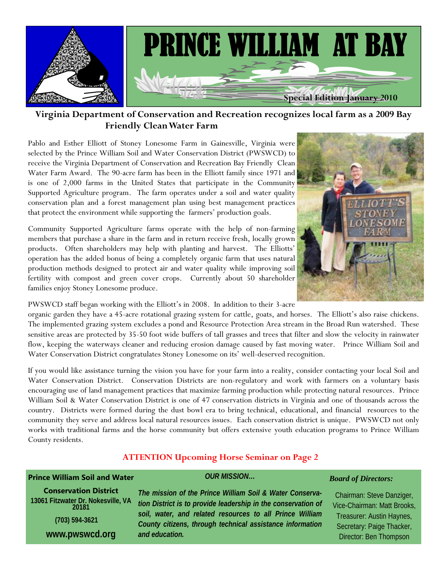

**Virginia Department of Conservation and Recreation recognizes local farm as a 2009 Bay Friendly Clean Water Farm** 

Pablo and Esther Elliott of Stoney Lonesome Farm in Gainesville, Virginia were selected by the Prince William Soil and Water Conservation District (PWSWCD) to receive the Virginia Department of Conservation and Recreation Bay Friendly Clean Water Farm Award. The 90-acre farm has been in the Elliott family since 1971 and is one of 2,000 farms in the United States that participate in the Community Supported Agriculture program. The farm operates under a soil and water quality conservation plan and a forest management plan using best management practices that protect the environment while supporting the farmers' production goals.

Community Supported Agriculture farms operate with the help of non-farming members that purchase a share in the farm and in return receive fresh, locally grown products. Often shareholders may help with planting and harvest. The Elliotts' operation has the added bonus of being a completely organic farm that uses natural production methods designed to protect air and water quality while improving soil fertility with compost and green cover crops. Currently about 50 shareholder families enjoy Stoney Lonesome produce.

PWSWCD staff began working with the Elliott's in 2008. In addition to their 3-acre

organic garden they have a 45-acre rotational grazing system for cattle, goats, and horses. The Elliott's also raise chickens. The implemented grazing system excludes a pond and Resource Protection Area stream in the Broad Run watershed. These sensitive areas are protected by 35-50 foot wide buffers of tall grasses and trees that filter and slow the velocity in rainwater flow, keeping the waterways cleaner and reducing erosion damage caused by fast moving water. Prince William Soil and Water Conservation District congratulates Stoney Lonesome on its' well-deserved recognition.

If you would like assistance turning the vision you have for your farm into a reality, consider contacting your local Soil and Water Conservation District. Conservation Districts are non-regulatory and work with farmers on a voluntary basis encouraging use of land management practices that maximize farming production while protecting natural resources. Prince William Soil & Water Conservation District is one of 47 conservation districts in Virginia and one of thousands across the country. Districts were formed during the dust bowl era to bring technical, educational, and financial resources to the community they serve and address local natural resources issues. Each conservation district is unique. PWSWCD not only works with traditional farms and the horse community but offers extensive youth education programs to Prince William County residents.

#### **ATTENTION Upcoming Horse Seminar on Page 2**

## **Prince William Soil and Water**

**Conservation District 13061 Fitzwater Dr. Nokesville, VA 20181 (703) 594-3621 www.pwswcd.org** 

*The mission of the Prince William Soil & Water Conservation District is to provide leadership in the conservation of soil, water, and related resources to all Prince William County citizens, through technical assistance information and education.* 

*OUR MISSION…* 



#### *Board of Directors:*

Chairman: Steve Danziger, Vice-Chairman: Matt Brooks, Treasurer: Austin Haynes, Secretary: Paige Thacker, Director: Ben Thompson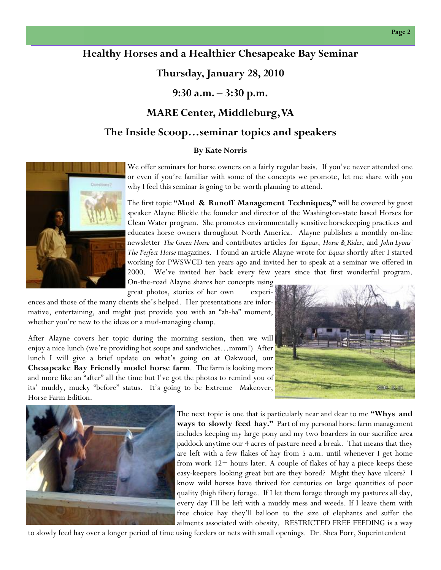#### **Page 2**

## **Healthy Horses and a Healthier Chesapeake Bay Seminar**

## **Thursday, January 28, 2010**

**9:30 a.m. – 3:30 p.m.** 

## **MARE Center, Middleburg, VA**

### **The Inside Scoop…seminar topics and speakers**

#### **By Kate Norris**

We offer seminars for horse owners on a fairly regular basis. If you've never attended one or even if you're familiar with some of the concepts we promote, let me share with you why I feel this seminar is going to be worth planning to attend.

The first topic **"Mud & Runoff Management Techniques,"** will be covered by guest speaker Alayne Blickle the founder and director of the Washington-state based Horses for Clean Water program. She promotes environmentally sensitive horsekeeping practices and educates horse owners throughout North America. Alayne publishes a monthly on-line newsletter *The Green Horse* and contributes articles for *Equus*, *Horse & Rider*, and *John Lyons' The Perfect Horse* magazines. I found an article Alayne wrote for *Equus* shortly after I started working for PWSWCD ten years ago and invited her to speak at a seminar we offered in 2000. We've invited her back every few years since that first wonderful program. On-the-road Alayne shares her concepts using

great photos, stories of her own experiences and those of the many clients she's helped. Her presentations are informative, entertaining, and might just provide you with an "ah-ha" moment,

After Alayne covers her topic during the morning session, then we will enjoy a nice lunch (we're providing hot soups and sandwiches…mmm!) After lunch I will give a brief update on what's going on at Oakwood, our **Chesapeake Bay Friendly model horse farm**. The farm is looking more and more like an "after" all the time but I've got the photos to remind you of its' muddy, mucky "before" status. It's going to be Extreme Makeover, Horse Farm Edition.

whether you're new to the ideas or a mud-managing champ.





The next topic is one that is particularly near and dear to me **"Whys and ways to slowly feed hay."** Part of my personal horse farm management includes keeping my large pony and my two boarders in our sacrifice area paddock anytime our 4 acres of pasture need a break. That means that they are left with a few flakes of hay from 5 a.m. until whenever I get home from work 12+ hours later. A couple of flakes of hay a piece keeps these easy-keepers looking great but are they bored? Might they have ulcers? I know wild horses have thrived for centuries on large quantities of poor quality (high fiber) forage. If I let them forage through my pastures all day, every day I'll be left with a muddy mess and weeds. If I leave them with free choice hay they'll balloon to the size of elephants and suffer the ailments associated with obesity. RESTRICTED FREE FEEDING is a way

to slowly feed hay over a longer period of time using feeders or nets with small openings. Dr. Shea Porr, Superintendent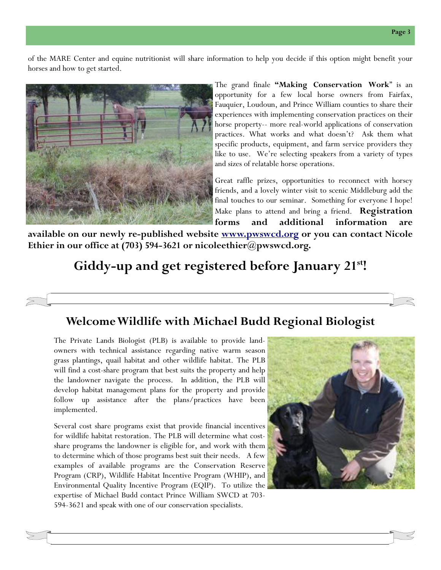of the MARE Center and equine nutritionist will share information to help you decide if this option might benefit your horses and how to get started.



The grand finale **"Making Conservation Work**" is an opportunity for a few local horse owners from Fairfax, Fauquier, Loudoun, and Prince William counties to share their experiences with implementing conservation practices on their horse property-- more real-world applications of conservation practices. What works and what doesn't? Ask them what specific products, equipment, and farm service providers they like to use. We're selecting speakers from a variety of types and sizes of relatable horse operations.

Great raffle prizes, opportunities to reconnect with horsey friends, and a lovely winter visit to scenic Middleburg add the final touches to our seminar. Something for everyone I hope! Make plans to attend and bring a friend. **Registration forms and additional information are** 

**available on our newly re-published website www.pwswcd.org or you can contact Nicole Ethier in our office at (703) 594-3621 or nicoleethier@pwswcd.org.** 

# **Giddy-up and get registered before January 21st!**

## **Welcome Wildlife with Michael Budd Regional Biologist**

The Private Lands Biologist (PLB) is available to provide landowners with technical assistance regarding native warm season grass plantings, quail habitat and other wildlife habitat. The PLB will find a cost-share program that best suits the property and help the landowner navigate the process. In addition, the PLB will develop habitat management plans for the property and provide follow up assistance after the plans/practices have been implemented.

Several cost share programs exist that provide financial incentives for wildlife habitat restoration. The PLB will determine what costshare programs the landowner is eligible for, and work with them to determine which of those programs best suit their needs. A few examples of available programs are the Conservation Reserve Program (CRP), Wildlife Habitat Incentive Program (WHIP), and Environmental Quality Incentive Program (EQIP). To utilize the expertise of Michael Budd contact Prince William SWCD at 703- 594-3621 and speak with one of our conservation specialists.